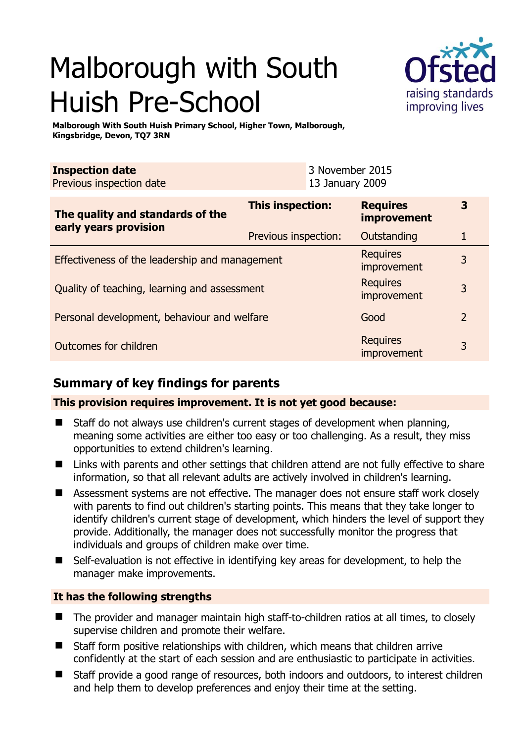# Malborough with South Huish Pre-School



**Malborough With South Huish Primary School, Higher Town, Malborough, Kingsbridge, Devon, TQ7 3RN** 

| <b>Inspection date</b>   |                 | 3 November 2015 |  |  |
|--------------------------|-----------------|-----------------|--|--|
| Previous inspection date | 13 January 2009 |                 |  |  |
|                          |                 |                 |  |  |
|                          |                 |                 |  |  |

| The quality and standards of the<br>early years provision | <b>This inspection:</b>        | <b>Requires</b><br><b>improvement</b> | 3              |
|-----------------------------------------------------------|--------------------------------|---------------------------------------|----------------|
|                                                           | Previous inspection:           | Outstanding                           | 1              |
| Effectiveness of the leadership and management            |                                | <b>Requires</b><br>improvement        | 3              |
| Quality of teaching, learning and assessment              |                                | <b>Requires</b><br>improvement        | 3              |
| Personal development, behaviour and welfare               |                                | Good                                  | $\overline{2}$ |
| Outcomes for children                                     | <b>Requires</b><br>improvement | 3                                     |                |

# **Summary of key findings for parents**

# **This provision requires improvement. It is not yet good because:**

- Staff do not always use children's current stages of development when planning, meaning some activities are either too easy or too challenging. As a result, they miss opportunities to extend children's learning.
- Links with parents and other settings that children attend are not fully effective to share information, so that all relevant adults are actively involved in children's learning.
- Assessment systems are not effective. The manager does not ensure staff work closely with parents to find out children's starting points. This means that they take longer to identify children's current stage of development, which hinders the level of support they provide. Additionally, the manager does not successfully monitor the progress that individuals and groups of children make over time.
- Self-evaluation is not effective in identifying key areas for development, to help the manager make improvements.

## **It has the following strengths**

- The provider and manager maintain high staff-to-children ratios at all times, to closely supervise children and promote their welfare.
- Staff form positive relationships with children, which means that children arrive confidently at the start of each session and are enthusiastic to participate in activities.
- Staff provide a good range of resources, both indoors and outdoors, to interest children and help them to develop preferences and enjoy their time at the setting.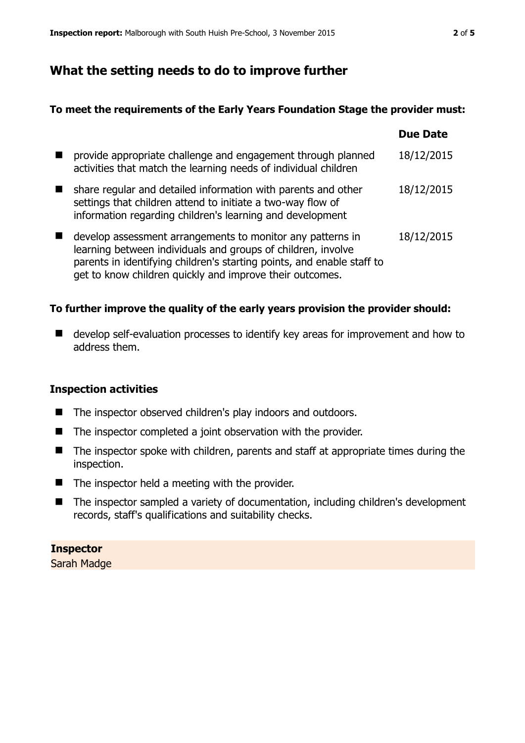# **What the setting needs to do to improve further**

#### **To meet the requirements of the Early Years Foundation Stage the provider must:**

|                                                                                                                                                                                                                                                                  | <b>Due Date</b> |
|------------------------------------------------------------------------------------------------------------------------------------------------------------------------------------------------------------------------------------------------------------------|-----------------|
| provide appropriate challenge and engagement through planned<br>activities that match the learning needs of individual children                                                                                                                                  | 18/12/2015      |
| share regular and detailed information with parents and other<br>settings that children attend to initiate a two-way flow of<br>information regarding children's learning and development                                                                        | 18/12/2015      |
| develop assessment arrangements to monitor any patterns in<br>learning between individuals and groups of children, involve<br>parents in identifying children's starting points, and enable staff to<br>get to know children quickly and improve their outcomes. | 18/12/2015      |

## **To further improve the quality of the early years provision the provider should:**

■ develop self-evaluation processes to identify key areas for improvement and how to address them.

## **Inspection activities**

- The inspector observed children's play indoors and outdoors.
- The inspector completed a joint observation with the provider.
- The inspector spoke with children, parents and staff at appropriate times during the inspection.
- $\blacksquare$  The inspector held a meeting with the provider.
- The inspector sampled a variety of documentation, including children's development records, staff's qualifications and suitability checks.

## **Inspector**

Sarah Madge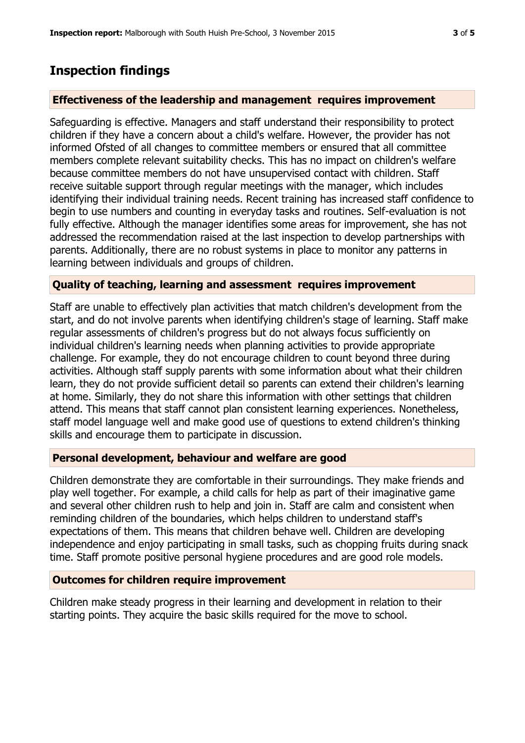# **Inspection findings**

#### **Effectiveness of the leadership and management requires improvement**

Safeguarding is effective. Managers and staff understand their responsibility to protect children if they have a concern about a child's welfare. However, the provider has not informed Ofsted of all changes to committee members or ensured that all committee members complete relevant suitability checks. This has no impact on children's welfare because committee members do not have unsupervised contact with children. Staff receive suitable support through regular meetings with the manager, which includes identifying their individual training needs. Recent training has increased staff confidence to begin to use numbers and counting in everyday tasks and routines. Self-evaluation is not fully effective. Although the manager identifies some areas for improvement, she has not addressed the recommendation raised at the last inspection to develop partnerships with parents. Additionally, there are no robust systems in place to monitor any patterns in learning between individuals and groups of children.

#### **Quality of teaching, learning and assessment requires improvement**

Staff are unable to effectively plan activities that match children's development from the start, and do not involve parents when identifying children's stage of learning. Staff make regular assessments of children's progress but do not always focus sufficiently on individual children's learning needs when planning activities to provide appropriate challenge. For example, they do not encourage children to count beyond three during activities. Although staff supply parents with some information about what their children learn, they do not provide sufficient detail so parents can extend their children's learning at home. Similarly, they do not share this information with other settings that children attend. This means that staff cannot plan consistent learning experiences. Nonetheless, staff model language well and make good use of questions to extend children's thinking skills and encourage them to participate in discussion.

## **Personal development, behaviour and welfare are good**

Children demonstrate they are comfortable in their surroundings. They make friends and play well together. For example, a child calls for help as part of their imaginative game and several other children rush to help and join in. Staff are calm and consistent when reminding children of the boundaries, which helps children to understand staff's expectations of them. This means that children behave well. Children are developing independence and enjoy participating in small tasks, such as chopping fruits during snack time. Staff promote positive personal hygiene procedures and are good role models.

#### **Outcomes for children require improvement**

Children make steady progress in their learning and development in relation to their starting points. They acquire the basic skills required for the move to school.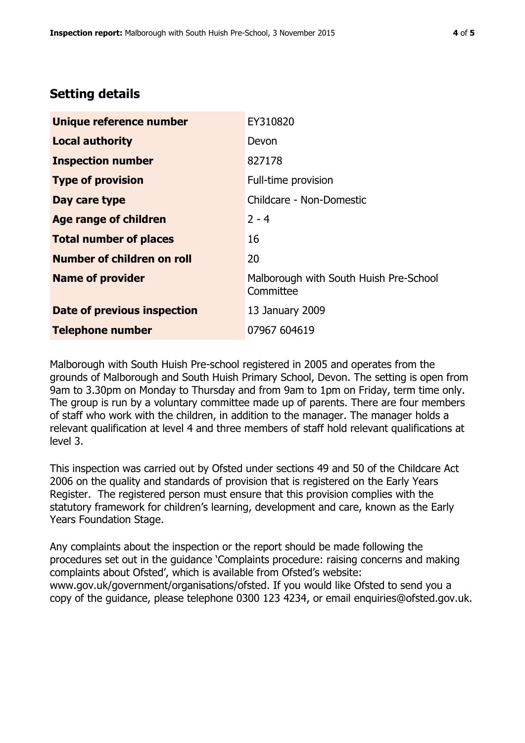# **Setting details**

| Unique reference number       | EY310820                                            |
|-------------------------------|-----------------------------------------------------|
| <b>Local authority</b>        | Devon                                               |
| <b>Inspection number</b>      | 827178                                              |
| <b>Type of provision</b>      | Full-time provision                                 |
| Day care type                 | Childcare - Non-Domestic                            |
| Age range of children         | $2 - 4$                                             |
| <b>Total number of places</b> | 16                                                  |
| Number of children on roll    | 20                                                  |
| <b>Name of provider</b>       | Malborough with South Huish Pre-School<br>Committee |
| Date of previous inspection   | 13 January 2009                                     |
| <b>Telephone number</b>       | 07967 604619                                        |

Malborough with South Huish Pre-school registered in 2005 and operates from the grounds of Malborough and South Huish Primary School, Devon. The setting is open from 9am to 3.30pm on Monday to Thursday and from 9am to 1pm on Friday, term time only. The group is run by a voluntary committee made up of parents. There are four members of staff who work with the children, in addition to the manager. The manager holds a relevant qualification at level 4 and three members of staff hold relevant qualifications at level 3.

This inspection was carried out by Ofsted under sections 49 and 50 of the Childcare Act 2006 on the quality and standards of provision that is registered on the Early Years Register. The registered person must ensure that this provision complies with the statutory framework for children's learning, development and care, known as the Early Years Foundation Stage.

Any complaints about the inspection or the report should be made following the procedures set out in the guidance 'Complaints procedure: raising concerns and making complaints about Ofsted', which is available from Ofsted's website: www.gov.uk/government/organisations/ofsted. If you would like Ofsted to send you a copy of the guidance, please telephone 0300 123 4234, or email enquiries@ofsted.gov.uk.